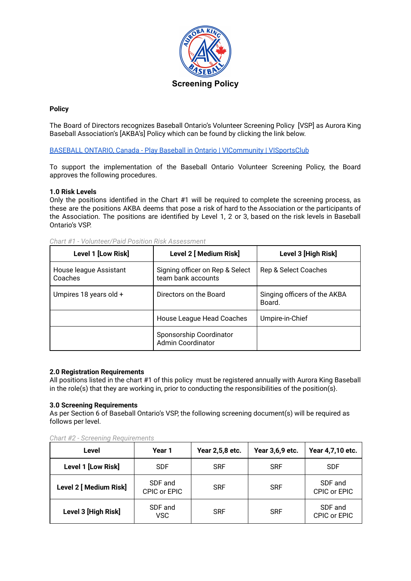

# **Policy**

The Board of Directors recognizes Baseball Ontario's Volunteer Screening Policy [VSP] as Aurora King Baseball Association's [AKBA's] Policy which can be found by clicking the link below.

BASEBALL ONTARIO, Canada - Play Baseball in Ontario | [VICommunity](https://www.baseballontario.com/Admin/SideMenu/About.aspx?TopmenuID=10001) | VISportsClub

To support the implementation of the Baseball Ontario Volunteer Screening Policy, the Board approves the following procedures.

#### **1.0 Risk Levels**

Only the positions identified in the Chart #1 will be required to complete the screening process, as these are the positions AKBA deems that pose a risk of hard to the Association or the participants of the Association. The positions are identified by Level 1, 2 or 3, based on the risk levels in Baseball Ontario's VSP.

| Level 1 [Low Risk]                | Level 2 [ Medium Risk]                                | Level 3 [High Risk]                    |  |
|-----------------------------------|-------------------------------------------------------|----------------------------------------|--|
| House league Assistant<br>Coaches | Signing officer on Rep & Select<br>team bank accounts | Rep & Select Coaches                   |  |
| Umpires 18 years old +            | Directors on the Board                                | Singing officers of the AKBA<br>Board. |  |
|                                   | House League Head Coaches                             | Umpire-in-Chief                        |  |
|                                   | Sponsorship Coordinator<br><b>Admin Coordinator</b>   |                                        |  |

*Chart #1 - Volunteer/Paid Position Risk Assessment*

## **2.0 Registration Requirements**

All positions listed in the chart #1 of this policy must be registered annually with Aurora King Baseball in the role(s) that they are working in, prior to conducting the responsibilities of the position(s}.

## **3.0 Screening Requirements**

As per Section 6 of Baseball Ontario's VSP, the following screening document(s) will be required as follows per level.

| Level                  | Year 1                  | Year 2,5,8 etc. | Year 3,6,9 etc. | Year 4,7,10 etc.        |
|------------------------|-------------------------|-----------------|-----------------|-------------------------|
| Level 1 [Low Risk]     | <b>SDF</b>              | <b>SRF</b>      | <b>SRF</b>      | <b>SDF</b>              |
| Level 2 [ Medium Risk] | SDF and<br>CPIC or EPIC | <b>SRF</b>      | <b>SRF</b>      | SDF and<br>CPIC or EPIC |
| Level 3 [High Risk]    | SDF and<br><b>VSC</b>   | <b>SRF</b>      | <b>SRF</b>      | SDF and<br>CPIC or EPIC |

*Chart #2 - Screening Requirements*